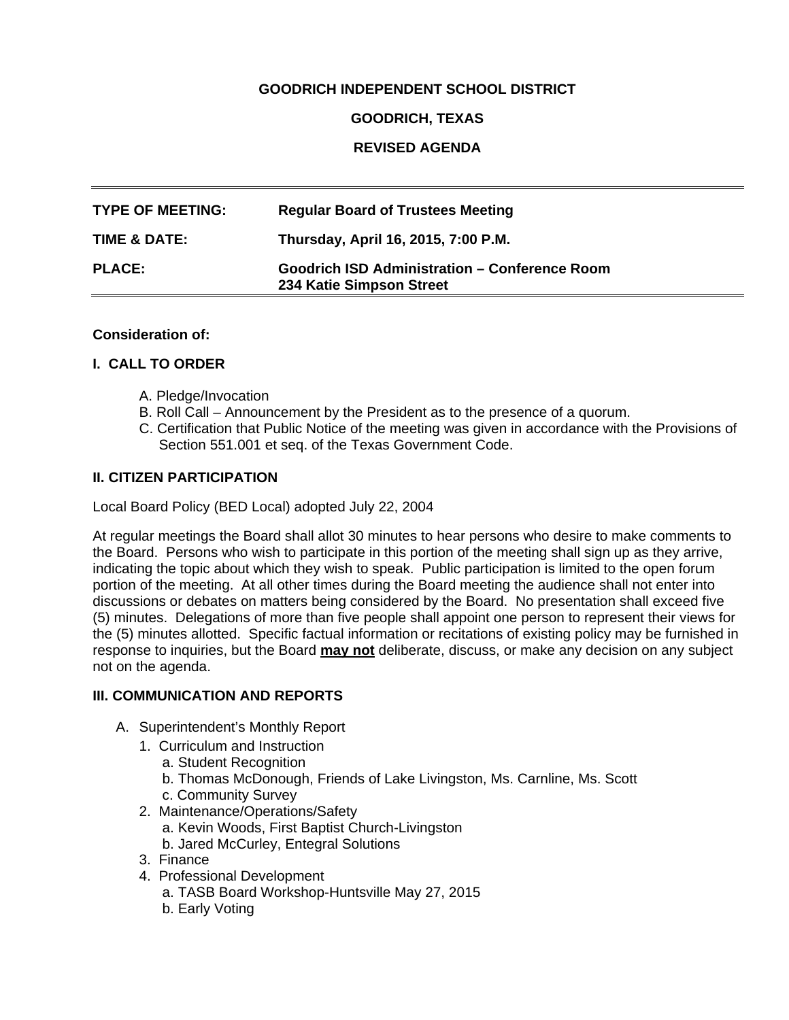## **GOODRICH INDEPENDENT SCHOOL DISTRICT**

### **GOODRICH, TEXAS**

## **REVISED AGENDA**

| <b>TYPE OF MEETING:</b> | <b>Regular Board of Trustees Meeting</b>                                         |
|-------------------------|----------------------------------------------------------------------------------|
| TIME & DATE:            | Thursday, April 16, 2015, 7:00 P.M.                                              |
| <b>PLACE:</b>           | <b>Goodrich ISD Administration - Conference Room</b><br>234 Katie Simpson Street |

#### **Consideration of:**

#### **I. CALL TO ORDER**

- A. Pledge/Invocation
- B. Roll Call Announcement by the President as to the presence of a quorum.
- C. Certification that Public Notice of the meeting was given in accordance with the Provisions of Section 551.001 et seq. of the Texas Government Code.

### **II. CITIZEN PARTICIPATION**

Local Board Policy (BED Local) adopted July 22, 2004

At regular meetings the Board shall allot 30 minutes to hear persons who desire to make comments to the Board. Persons who wish to participate in this portion of the meeting shall sign up as they arrive, indicating the topic about which they wish to speak. Public participation is limited to the open forum portion of the meeting. At all other times during the Board meeting the audience shall not enter into discussions or debates on matters being considered by the Board. No presentation shall exceed five (5) minutes. Delegations of more than five people shall appoint one person to represent their views for the (5) minutes allotted. Specific factual information or recitations of existing policy may be furnished in response to inquiries, but the Board **may not** deliberate, discuss, or make any decision on any subject not on the agenda.

#### **III. COMMUNICATION AND REPORTS**

- A. Superintendent's Monthly Report
	- 1. Curriculum and Instruction
		- a. Student Recognition
		- b. Thomas McDonough, Friends of Lake Livingston, Ms. Carnline, Ms. Scott
		- c. Community Survey
	- 2. Maintenance/Operations/Safety
		- a. Kevin Woods, First Baptist Church-Livingston
		- b. Jared McCurley, Entegral Solutions
	- 3. Finance
	- 4. Professional Development
		- a. TASB Board Workshop-Huntsville May 27, 2015
		- b. Early Voting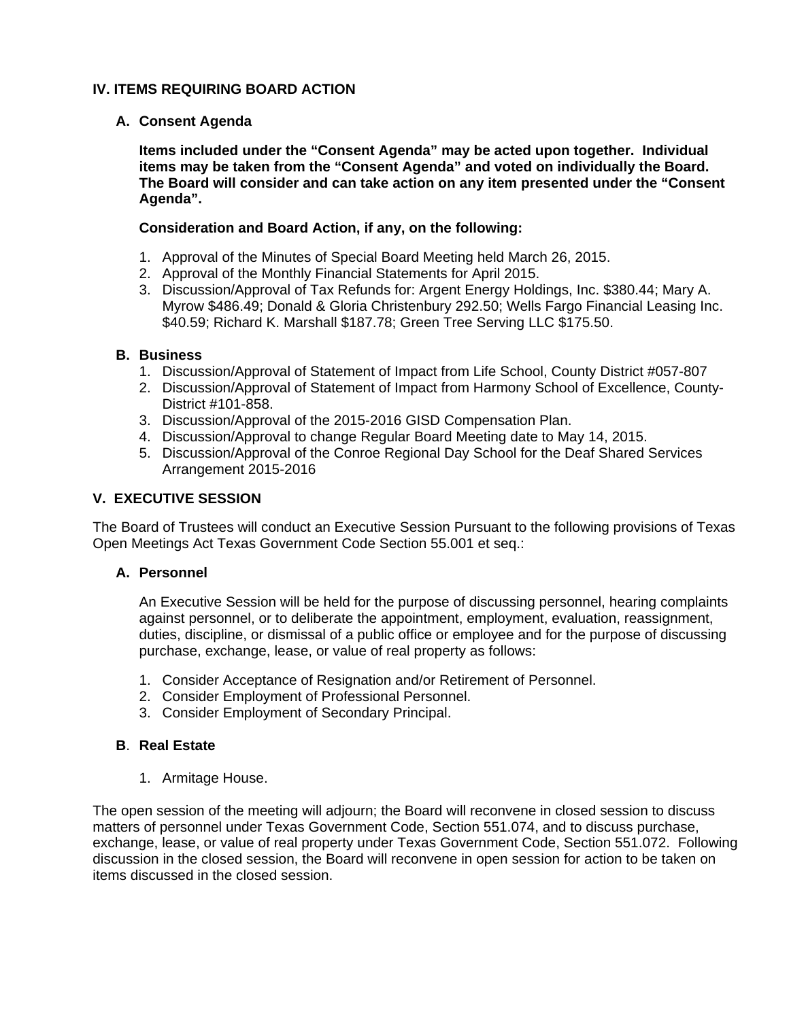## **IV. ITEMS REQUIRING BOARD ACTION**

## **A. Consent Agenda**

**Items included under the "Consent Agenda" may be acted upon together. Individual items may be taken from the "Consent Agenda" and voted on individually the Board. The Board will consider and can take action on any item presented under the "Consent Agenda".** 

### **Consideration and Board Action, if any, on the following:**

- 1. Approval of the Minutes of Special Board Meeting held March 26, 2015.
- 2. Approval of the Monthly Financial Statements for April 2015.
- 3. Discussion/Approval of Tax Refunds for: Argent Energy Holdings, Inc. \$380.44; Mary A. Myrow \$486.49; Donald & Gloria Christenbury 292.50; Wells Fargo Financial Leasing Inc. \$40.59; Richard K. Marshall \$187.78; Green Tree Serving LLC \$175.50.

### **B. Business**

- 1. Discussion/Approval of Statement of Impact from Life School, County District #057-807
- 2. Discussion/Approval of Statement of Impact from Harmony School of Excellence, County-District #101-858.
- 3. Discussion/Approval of the 2015-2016 GISD Compensation Plan.
- 4. Discussion/Approval to change Regular Board Meeting date to May 14, 2015.
- 5. Discussion/Approval of the Conroe Regional Day School for the Deaf Shared Services Arrangement 2015-2016

### **V. EXECUTIVE SESSION**

The Board of Trustees will conduct an Executive Session Pursuant to the following provisions of Texas Open Meetings Act Texas Government Code Section 55.001 et seq.:

## **A. Personnel**

An Executive Session will be held for the purpose of discussing personnel, hearing complaints against personnel, or to deliberate the appointment, employment, evaluation, reassignment, duties, discipline, or dismissal of a public office or employee and for the purpose of discussing purchase, exchange, lease, or value of real property as follows:

- 1. Consider Acceptance of Resignation and/or Retirement of Personnel.
- 2. Consider Employment of Professional Personnel.
- 3. Consider Employment of Secondary Principal.

## **B**. **Real Estate**

1. Armitage House.

The open session of the meeting will adjourn; the Board will reconvene in closed session to discuss matters of personnel under Texas Government Code, Section 551.074, and to discuss purchase, exchange, lease, or value of real property under Texas Government Code, Section 551.072. Following discussion in the closed session, the Board will reconvene in open session for action to be taken on items discussed in the closed session.